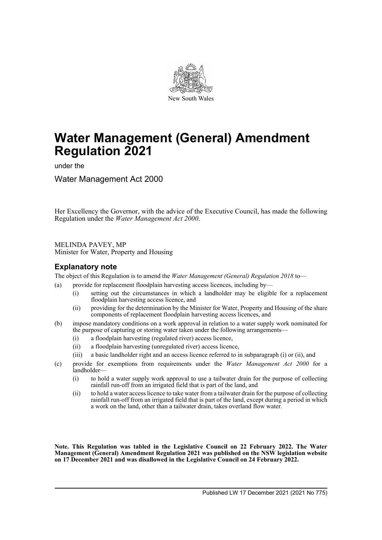

# **Water Management (General) Amendment Regulation 2021**

under the

Water Management Act 2000

Her Excellency the Governor, with the advice of the Executive Council, has made the following Regulation under the *Water Management Act 2000*.

MELINDA PAVEY, MP Minister for Water, Property and Housing

#### **Explanatory note**

The object of this Regulation is to amend the *Water Management (General) Regulation 2018* to—

- (a) provide for replacement floodplain harvesting access licences, including by—
	- (i) setting out the circumstances in which a landholder may be eligible for a replacement floodplain harvesting access licence, and
	- (ii) providing for the determination by the Minister for Water, Property and Housing of the share components of replacement floodplain harvesting access licences, and
- (b) impose mandatory conditions on a work approval in relation to a water supply work nominated for the purpose of capturing or storing water taken under the following arrangements—
	- (i) a floodplain harvesting (regulated river) access licence,
	- (ii) a floodplain harvesting (unregulated river) access licence,
	- (iii) a basic landholder right and an access licence referred to in subparagraph (i) or (ii), and
- (c) provide for exemptions from requirements under the *Water Management Act 2000* for a landholder—
	- (i) to hold a water supply work approval to use a tailwater drain for the purpose of collecting rainfall run-off from an irrigated field that is part of the land, and
	- (ii) to hold a water access licence to take water from a tailwater drain for the purpose of collecting rainfall run-off from an irrigated field that is part of the land, except during a period in which a work on the land, other than a tailwater drain, takes overland flow water.

**Note. This Regulation was tabled in the Legislative Council on 22 February 2022. The Water Management (General) Amendment Regulation 2021 was published on the NSW legislation website on 17 December 2021 and was disallowed in the Legislative Council on 24 February 2022.**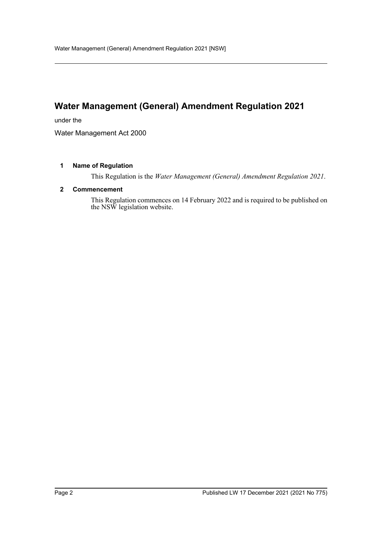## **Water Management (General) Amendment Regulation 2021**

under the

Water Management Act 2000

#### **1 Name of Regulation**

This Regulation is the *Water Management (General) Amendment Regulation 2021*.

#### **2 Commencement**

This Regulation commences on 14 February 2022 and is required to be published on the NSW legislation website.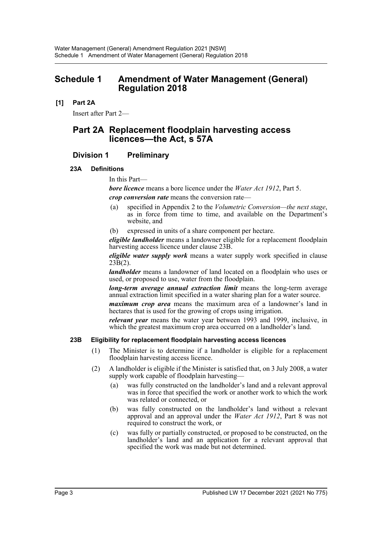## **Schedule 1 Amendment of Water Management (General) Regulation 2018**

#### **[1] Part 2A**

Insert after Part 2—

## **Part 2A Replacement floodplain harvesting access licences—the Act, s 57A**

## **Division 1 Preliminary**

#### **23A Definitions**

In this Part—

*bore licence* means a bore licence under the *Water Act 1912*, Part 5. *crop conversion rate* means the conversion rate—

- (a) specified in Appendix 2 to the *Volumetric Conversion—the next stage*, as in force from time to time, and available on the Department's website, and
- (b) expressed in units of a share component per hectare.

*eligible landholder* means a landowner eligible for a replacement floodplain harvesting access licence under clause 23B.

*eligible water supply work* means a water supply work specified in clause  $23\bar{B}(2)$ .

*landholder* means a landowner of land located on a floodplain who uses or used, or proposed to use, water from the floodplain.

*long-term average annual extraction limit* means the long-term average annual extraction limit specified in a water sharing plan for a water source.

*maximum crop area* means the maximum area of a landowner's land in hectares that is used for the growing of crops using irrigation.

*relevant year* means the water year between 1993 and 1999, inclusive, in which the greatest maximum crop area occurred on a landholder's land.

#### **23B Eligibility for replacement floodplain harvesting access licences**

- (1) The Minister is to determine if a landholder is eligible for a replacement floodplain harvesting access licence.
- (2) A landholder is eligible if the Minister is satisfied that, on 3 July 2008, a water supply work capable of floodplain harvesting—
	- (a) was fully constructed on the landholder's land and a relevant approval was in force that specified the work or another work to which the work was related or connected, or
	- (b) was fully constructed on the landholder's land without a relevant approval and an approval under the *Water Act 1912*, Part 8 was not required to construct the work, or
	- (c) was fully or partially constructed, or proposed to be constructed, on the landholder's land and an application for a relevant approval that specified the work was made but not determined.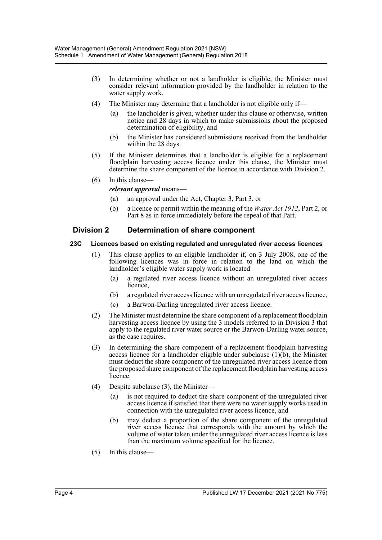- (3) In determining whether or not a landholder is eligible, the Minister must consider relevant information provided by the landholder in relation to the water supply work.
- (4) The Minister may determine that a landholder is not eligible only if—
	- (a) the landholder is given, whether under this clause or otherwise, written notice and 28 days in which to make submissions about the proposed determination of eligibility, and
	- (b) the Minister has considered submissions received from the landholder within the 28 days.
- (5) If the Minister determines that a landholder is eligible for a replacement floodplain harvesting access licence under this clause, the Minister must determine the share component of the licence in accordance with Division 2.
- (6) In this clause
	- *relevant approval* means—
		- (a) an approval under the Act, Chapter 3, Part 3, or
		- (b) a licence or permit within the meaning of the *Water Act 1912*, Part 2, or Part 8 as in force immediately before the repeal of that Part.

#### **Division 2 Determination of share component**

#### **23C Licences based on existing regulated and unregulated river access licences**

- (1) This clause applies to an eligible landholder if, on 3 July 2008, one of the following licences was in force in relation to the land on which the landholder's eligible water supply work is located—
	- (a) a regulated river access licence without an unregulated river access licence,
	- (b) a regulated river access licence with an unregulated river access licence,
	- (c) a Barwon-Darling unregulated river access licence.
- (2) The Minister must determine the share component of a replacement floodplain harvesting access licence by using the 3 models referred to in Division 3 that apply to the regulated river water source or the Barwon-Darling water source, as the case requires.
- (3) In determining the share component of a replacement floodplain harvesting access licence for a landholder eligible under subclause  $(1)(b)$ , the Minister must deduct the share component of the unregulated river access licence from the proposed share component of the replacement floodplain harvesting access licence.
- (4) Despite subclause (3), the Minister—
	- (a) is not required to deduct the share component of the unregulated river access licence if satisfied that there were no water supply works used in connection with the unregulated river access licence, and
	- (b) may deduct a proportion of the share component of the unregulated river access licence that corresponds with the amount by which the volume of water taken under the unregulated river access licence is less than the maximum volume specified for the licence.
- (5) In this clause—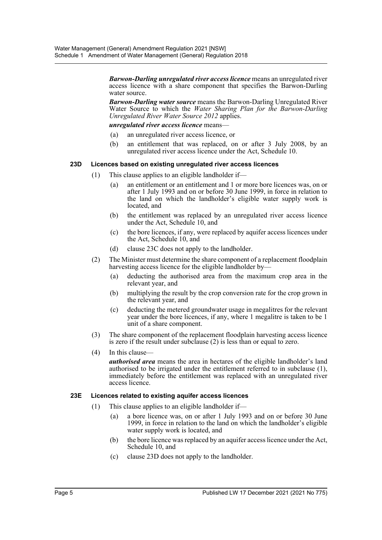*Barwon-Darling unregulated river access licence* means an unregulated river access licence with a share component that specifies the Barwon-Darling water source.

*Barwon-Darling water source* means the Barwon-Darling Unregulated River Water Source to which the *Water Sharing Plan for the Barwon-Darling Unregulated River Water Source 2012* applies.

*unregulated river access licence* means—

- (a) an unregulated river access licence, or
- (b) an entitlement that was replaced, on or after 3 July 2008, by an unregulated river access licence under the Act, Schedule 10.

#### **23D Licences based on existing unregulated river access licences**

- (1) This clause applies to an eligible landholder if—
	- (a) an entitlement or an entitlement and 1 or more bore licences was, on or after 1 July 1993 and on or before 30 June 1999, in force in relation to the land on which the landholder's eligible water supply work is located, and
	- (b) the entitlement was replaced by an unregulated river access licence under the Act, Schedule 10, and
	- (c) the bore licences, if any, were replaced by aquifer access licences under the Act, Schedule 10, and
	- (d) clause 23C does not apply to the landholder.
- (2) The Minister must determine the share component of a replacement floodplain harvesting access licence for the eligible landholder by-
	- (a) deducting the authorised area from the maximum crop area in the relevant year, and
	- (b) multiplying the result by the crop conversion rate for the crop grown in the relevant year, and
	- (c) deducting the metered groundwater usage in megalitres for the relevant year under the bore licences, if any, where 1 megalitre is taken to be 1 unit of a share component.
- (3) The share component of the replacement floodplain harvesting access licence is zero if the result under subclause  $(2)$  is less than or equal to zero.
- (4) In this clause—

*authorised area* means the area in hectares of the eligible landholder's land authorised to be irrigated under the entitlement referred to in subclause (1), immediately before the entitlement was replaced with an unregulated river access licence.

#### **23E Licences related to existing aquifer access licences**

- (1) This clause applies to an eligible landholder if—
	- (a) a bore licence was, on or after 1 July 1993 and on or before 30 June 1999, in force in relation to the land on which the landholder's eligible water supply work is located, and
	- (b) the bore licence was replaced by an aquifer access licence under the Act, Schedule 10, and
	- (c) clause 23D does not apply to the landholder.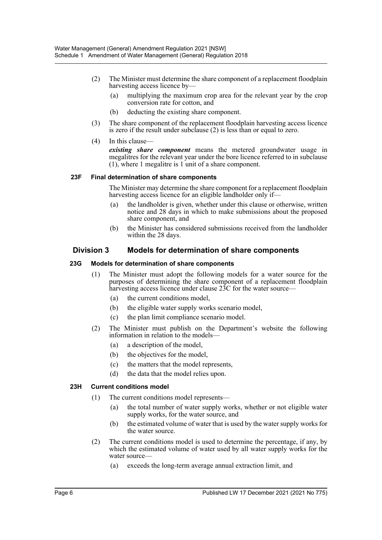- (2) The Minister must determine the share component of a replacement floodplain harvesting access licence by—
	- (a) multiplying the maximum crop area for the relevant year by the crop conversion rate for cotton, and
	- (b) deducting the existing share component.
- (3) The share component of the replacement floodplain harvesting access licence is zero if the result under subclause (2) is less than or equal to zero.
- (4) In this clause—

*existing share component* means the metered groundwater usage in megalitres for the relevant year under the bore licence referred to in subclause (1), where 1 megalitre is 1 unit of a share component.

#### **23F Final determination of share components**

The Minister may determine the share component for a replacement floodplain harvesting access licence for an eligible landholder only if-

- (a) the landholder is given, whether under this clause or otherwise, written notice and 28 days in which to make submissions about the proposed share component, and
- (b) the Minister has considered submissions received from the landholder within the 28 days.

## **Division 3 Models for determination of share components**

#### **23G Models for determination of share components**

- (1) The Minister must adopt the following models for a water source for the purposes of determining the share component of a replacement floodplain harvesting access licence under clause 23C for the water source—
	- (a) the current conditions model,
	- (b) the eligible water supply works scenario model,
	- (c) the plan limit compliance scenario model.
- (2) The Minister must publish on the Department's website the following information in relation to the models—
	- (a) a description of the model,
	- (b) the objectives for the model,
	- (c) the matters that the model represents,
	- (d) the data that the model relies upon.

#### **23H Current conditions model**

- (1) The current conditions model represents—
	- (a) the total number of water supply works, whether or not eligible water supply works, for the water source, and
	- (b) the estimated volume of water that is used by the water supply works for the water source.
- (2) The current conditions model is used to determine the percentage, if any, by which the estimated volume of water used by all water supply works for the water source—
	- (a) exceeds the long-term average annual extraction limit, and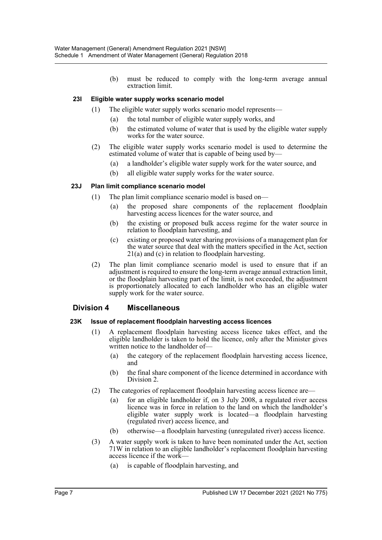(b) must be reduced to comply with the long-term average annual extraction limit.

#### **23I Eligible water supply works scenario model**

- (1) The eligible water supply works scenario model represents—
	- (a) the total number of eligible water supply works, and
	- (b) the estimated volume of water that is used by the eligible water supply works for the water source.
- (2) The eligible water supply works scenario model is used to determine the estimated volume of water that is capable of being used by—
	- (a) a landholder's eligible water supply work for the water source, and
	- (b) all eligible water supply works for the water source.

#### **23J Plan limit compliance scenario model**

- (1) The plan limit compliance scenario model is based on—
	- (a) the proposed share components of the replacement floodplain harvesting access licences for the water source, and
	- (b) the existing or proposed bulk access regime for the water source in relation to floodplain harvesting, and
	- (c) existing or proposed water sharing provisions of a management plan for the water source that deal with the matters specified in the Act, section 21(a) and (c) in relation to floodplain harvesting.
- (2) The plan limit compliance scenario model is used to ensure that if an adjustment is required to ensure the long-term average annual extraction limit, or the floodplain harvesting part of the limit, is not exceeded, the adjustment is proportionately allocated to each landholder who has an eligible water supply work for the water source.

#### **Division 4 Miscellaneous**

#### **23K Issue of replacement floodplain harvesting access licences**

- (1) A replacement floodplain harvesting access licence takes effect, and the eligible landholder is taken to hold the licence, only after the Minister gives written notice to the landholder of—
	- (a) the category of the replacement floodplain harvesting access licence, and
	- (b) the final share component of the licence determined in accordance with Division 2.
- (2) The categories of replacement floodplain harvesting access licence are—
	- (a) for an eligible landholder if, on 3 July 2008, a regulated river access licence was in force in relation to the land on which the landholder's eligible water supply work is located—a floodplain harvesting (regulated river) access licence, and
	- (b) otherwise—a floodplain harvesting (unregulated river) access licence.
- (3) A water supply work is taken to have been nominated under the Act, section 71W in relation to an eligible landholder's replacement floodplain harvesting access licence if the work—
	- (a) is capable of floodplain harvesting, and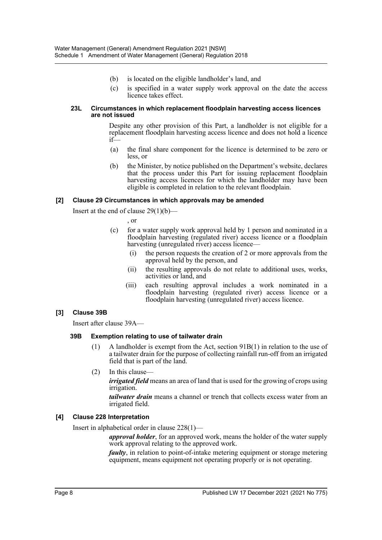- (b) is located on the eligible landholder's land, and
- (c) is specified in a water supply work approval on the date the access licence takes effect.

#### **23L Circumstances in which replacement floodplain harvesting access licences are not issued**

Despite any other provision of this Part, a landholder is not eligible for a replacement floodplain harvesting access licence and does not hold a licence  $if$ 

- (a) the final share component for the licence is determined to be zero or less, or
- (b) the Minister, by notice published on the Department's website, declares that the process under this Part for issuing replacement floodplain harvesting access licences for which the landholder may have been eligible is completed in relation to the relevant floodplain.

#### **[2] Clause 29 Circumstances in which approvals may be amended**

Insert at the end of clause 29(1)(b)—

, or

- (c) for a water supply work approval held by 1 person and nominated in a floodplain harvesting (regulated river) access licence or a floodplain harvesting (unregulated river) access licence—
	- (i) the person requests the creation of 2 or more approvals from the approval held by the person, and
	- (ii) the resulting approvals do not relate to additional uses, works, activities or land, and
	- (iii) each resulting approval includes a work nominated in a floodplain harvesting (regulated river) access licence or a floodplain harvesting (unregulated river) access licence.

#### **[3] Clause 39B**

Insert after clause 39A—

#### **39B Exemption relating to use of tailwater drain**

- (1) A landholder is exempt from the Act, section 91B(1) in relation to the use of a tailwater drain for the purpose of collecting rainfall run-off from an irrigated field that is part of the land.
- (2) In this clause—

*irrigated field* means an area of land that is used for the growing of crops using irrigation.

*tailwater drain* means a channel or trench that collects excess water from an irrigated field.

#### **[4] Clause 228 Interpretation**

Insert in alphabetical order in clause 228(1)—

*approval holder*, for an approved work, means the holder of the water supply work approval relating to the approved work.

*faulty*, in relation to point-of-intake metering equipment or storage metering equipment, means equipment not operating properly or is not operating.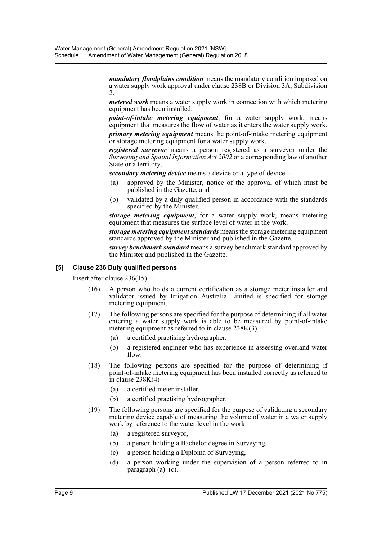*mandatory floodplains condition* means the mandatory condition imposed on a water supply work approval under clause 238B or Division 3A, Subdivision 2.

*metered work* means a water supply work in connection with which metering equipment has been installed.

*point-of-intake metering equipment*, for a water supply work, means equipment that measures the flow of water as it enters the water supply work. *primary metering equipment* means the point-of-intake metering equipment or storage metering equipment for a water supply work.

*registered surveyor* means a person registered as a surveyor under the *Surveying and Spatial Information Act 2002* or a corresponding law of another State or a territory.

*secondary metering device* means a device or a type of device—

- (a) approved by the Minister, notice of the approval of which must be published in the Gazette, and
- (b) validated by a duly qualified person in accordance with the standards specified by the Minister.

*storage metering equipment*, for a water supply work, means metering equipment that measures the surface level of water in the work.

*storage metering equipment standards* means the storage metering equipment standards approved by the Minister and published in the Gazette.

*survey benchmark standard* means a survey benchmark standard approved by the Minister and published in the Gazette.

#### **[5] Clause 236 Duly qualified persons**

Insert after clause 236(15)—

- (16) A person who holds a current certification as a storage meter installer and validator issued by Irrigation Australia Limited is specified for storage metering equipment.
- (17) The following persons are specified for the purpose of determining if all water entering a water supply work is able to be measured by point-of-intake metering equipment as referred to in clause  $238K(3)$ —
	- (a) a certified practising hydrographer,
	- (b) a registered engineer who has experience in assessing overland water flow.
- (18) The following persons are specified for the purpose of determining if point-of-intake metering equipment has been installed correctly as referred to in clause  $238K(4)$ -
	- (a) a certified meter installer,
	- (b) a certified practising hydrographer.
- (19) The following persons are specified for the purpose of validating a secondary metering device capable of measuring the volume of water in a water supply work by reference to the water level in the work-
	- (a) a registered surveyor,
	- (b) a person holding a Bachelor degree in Surveying,
	- (c) a person holding a Diploma of Surveying,
	- (d) a person working under the supervision of a person referred to in paragraph (a)–(c),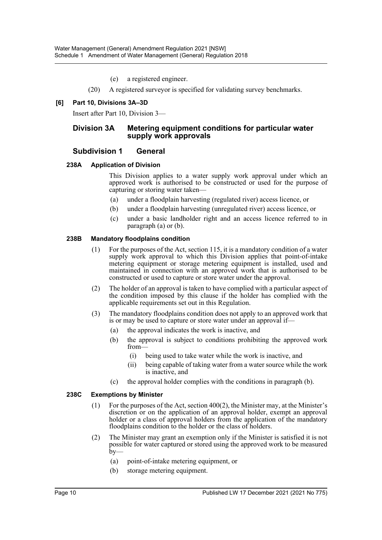(e) a registered engineer.

(20) A registered surveyor is specified for validating survey benchmarks.

#### **[6] Part 10, Divisions 3A–3D**

Insert after Part 10, Division 3—

#### **Division 3A Metering equipment conditions for particular water supply work approvals**

### **Subdivision 1 General**

#### **238A Application of Division**

This Division applies to a water supply work approval under which an approved work is authorised to be constructed or used for the purpose of capturing or storing water taken—

- (a) under a floodplain harvesting (regulated river) access licence, or
- (b) under a floodplain harvesting (unregulated river) access licence, or
- (c) under a basic landholder right and an access licence referred to in paragraph (a) or (b).

#### **238B Mandatory floodplains condition**

- (1) For the purposes of the Act, section 115, it is a mandatory condition of a water supply work approval to which this Division applies that point-of-intake metering equipment or storage metering equipment is installed, used and maintained in connection with an approved work that is authorised to be constructed or used to capture or store water under the approval.
- (2) The holder of an approval is taken to have complied with a particular aspect of the condition imposed by this clause if the holder has complied with the applicable requirements set out in this Regulation.
- (3) The mandatory floodplains condition does not apply to an approved work that is or may be used to capture or store water under an approval if—
	- (a) the approval indicates the work is inactive, and
	- (b) the approval is subject to conditions prohibiting the approved work from—
		- (i) being used to take water while the work is inactive, and
		- (ii) being capable of taking water from a water source while the work is inactive, and
	- (c) the approval holder complies with the conditions in paragraph (b).

#### **238C Exemptions by Minister**

- (1) For the purposes of the Act, section 400(2), the Minister may, at the Minister's discretion or on the application of an approval holder, exempt an approval holder or a class of approval holders from the application of the mandatory floodplains condition to the holder or the class of holders.
- (2) The Minister may grant an exemption only if the Minister is satisfied it is not possible for water captured or stored using the approved work to be measured  $b$ y—
	- (a) point-of-intake metering equipment, or
	- (b) storage metering equipment.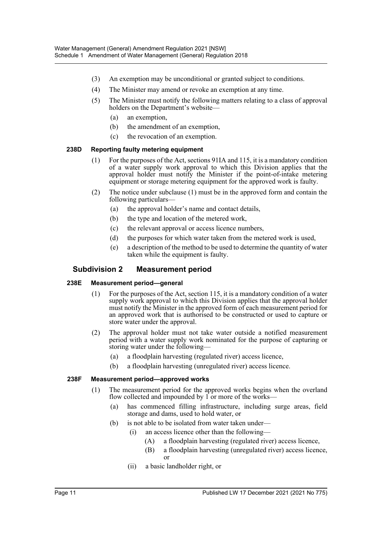- (3) An exemption may be unconditional or granted subject to conditions.
- (4) The Minister may amend or revoke an exemption at any time.
- (5) The Minister must notify the following matters relating to a class of approval holders on the Department's website—
	- (a) an exemption,
	- (b) the amendment of an exemption,
	- (c) the revocation of an exemption.

#### **238D Reporting faulty metering equipment**

- (1) For the purposes of the Act, sections 91IA and 115, it is a mandatory condition of a water supply work approval to which this Division applies that the approval holder must notify the Minister if the point-of-intake metering equipment or storage metering equipment for the approved work is faulty.
- (2) The notice under subclause (1) must be in the approved form and contain the following particulars—
	- (a) the approval holder's name and contact details,
	- (b) the type and location of the metered work,
	- (c) the relevant approval or access licence numbers,
	- (d) the purposes for which water taken from the metered work is used,
	- (e) a description of the method to be used to determine the quantity of water taken while the equipment is faulty.

## **Subdivision 2 Measurement period**

#### **238E Measurement period—general**

- (1) For the purposes of the Act, section 115, it is a mandatory condition of a water supply work approval to which this Division applies that the approval holder must notify the Minister in the approved form of each measurement period for an approved work that is authorised to be constructed or used to capture or store water under the approval.
- (2) The approval holder must not take water outside a notified measurement period with a water supply work nominated for the purpose of capturing or storing water under the following—
	- (a) a floodplain harvesting (regulated river) access licence,
	- (b) a floodplain harvesting (unregulated river) access licence.

#### **238F Measurement period—approved works**

- (1) The measurement period for the approved works begins when the overland flow collected and impounded by  $1$  or more of the works—
	- (a) has commenced filling infrastructure, including surge areas, field storage and dams, used to hold water, or
	- (b) is not able to be isolated from water taken under—
		- (i) an access licence other than the following—
			- (A) a floodplain harvesting (regulated river) access licence,
			- (B) a floodplain harvesting (unregulated river) access licence, or
		- (ii) a basic landholder right, or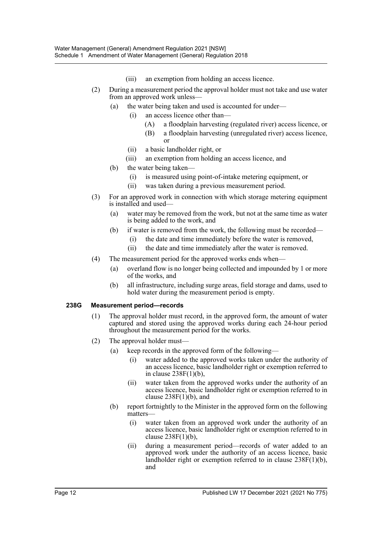- (iii) an exemption from holding an access licence.
- (2) During a measurement period the approval holder must not take and use water from an approved work unless—
	- (a) the water being taken and used is accounted for under—
		- (i) an access licence other than—
			- (A) a floodplain harvesting (regulated river) access licence, or
			- (B) a floodplain harvesting (unregulated river) access licence, or
		- (ii) a basic landholder right, or
		- (iii) an exemption from holding an access licence, and
	- (b) the water being taken—
		- (i) is measured using point-of-intake metering equipment, or
		- (ii) was taken during a previous measurement period.
- (3) For an approved work in connection with which storage metering equipment is installed and used—
	- (a) water may be removed from the work, but not at the same time as water is being added to the work, and
	- (b) if water is removed from the work, the following must be recorded—
		- (i) the date and time immediately before the water is removed,
		- (ii) the date and time immediately after the water is removed.
- (4) The measurement period for the approved works ends when—
	- (a) overland flow is no longer being collected and impounded by 1 or more of the works, and
	- (b) all infrastructure, including surge areas, field storage and dams, used to hold water during the measurement period is empty.

#### **238G Measurement period—records**

- (1) The approval holder must record, in the approved form, the amount of water captured and stored using the approved works during each 24-hour period throughout the measurement period for the works.
- (2) The approval holder must—
	- (a) keep records in the approved form of the following—
		- (i) water added to the approved works taken under the authority of an access licence, basic landholder right or exemption referred to in clause 238F(1)(b),
		- (ii) water taken from the approved works under the authority of an access licence, basic landholder right or exemption referred to in clause  $238F(1)(b)$ , and
	- (b) report fortnightly to the Minister in the approved form on the following matters—
		- (i) water taken from an approved work under the authority of an access licence, basic landholder right or exemption referred to in clause  $238F(1)(b)$ ,
		- (ii) during a measurement period—records of water added to an approved work under the authority of an access licence, basic landholder right or exemption referred to in clause 238F(1)(b), and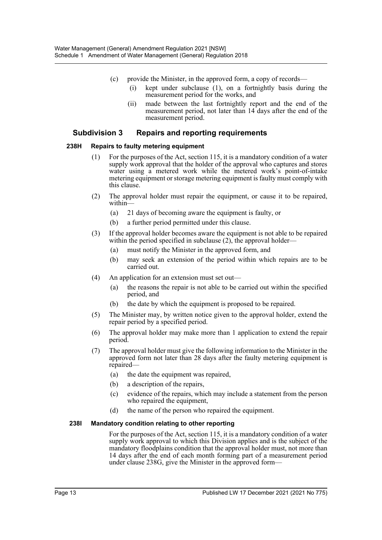- (c) provide the Minister, in the approved form, a copy of records—
	- (i) kept under subclause (1), on a fortnightly basis during the measurement period for the works, and
	- (ii) made between the last fortnightly report and the end of the measurement period, not later than 14 days after the end of the measurement period.

## **Subdivision 3 Repairs and reporting requirements**

#### **238H Repairs to faulty metering equipment**

- (1) For the purposes of the Act, section 115, it is a mandatory condition of a water supply work approval that the holder of the approval who captures and stores water using a metered work while the metered work's point-of-intake metering equipment or storage metering equipment is faulty must comply with this clause.
- (2) The approval holder must repair the equipment, or cause it to be repaired, within-
	- (a) 21 days of becoming aware the equipment is faulty, or
	- (b) a further period permitted under this clause.
- (3) If the approval holder becomes aware the equipment is not able to be repaired within the period specified in subclause (2), the approval holder—
	- (a) must notify the Minister in the approved form, and
	- (b) may seek an extension of the period within which repairs are to be carried out.
- (4) An application for an extension must set out—
	- (a) the reasons the repair is not able to be carried out within the specified period, and
	- (b) the date by which the equipment is proposed to be repaired.
- (5) The Minister may, by written notice given to the approval holder, extend the repair period by a specified period.
- (6) The approval holder may make more than 1 application to extend the repair period.
- (7) The approval holder must give the following information to the Minister in the approved form not later than 28 days after the faulty metering equipment is repaired—
	- (a) the date the equipment was repaired,
	- (b) a description of the repairs,
	- (c) evidence of the repairs, which may include a statement from the person who repaired the equipment,
	- (d) the name of the person who repaired the equipment.

#### **238I Mandatory condition relating to other reporting**

For the purposes of the Act, section 115, it is a mandatory condition of a water supply work approval to which this Division applies and is the subject of the mandatory floodplains condition that the approval holder must, not more than 14 days after the end of each month forming part of a measurement period under clause 238G, give the Minister in the approved form—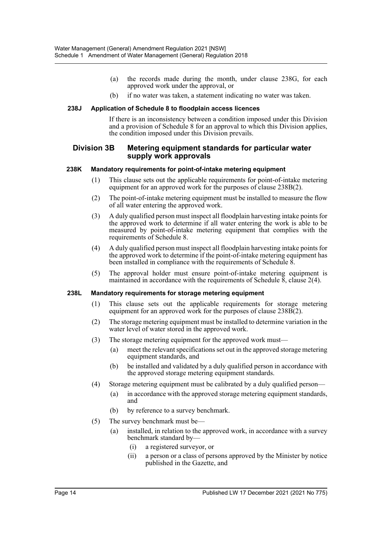- (a) the records made during the month, under clause 238G, for each approved work under the approval, or
- (b) if no water was taken, a statement indicating no water was taken.

#### **238J Application of Schedule 8 to floodplain access licences**

If there is an inconsistency between a condition imposed under this Division and a provision of Schedule 8 for an approval to which this Division applies, the condition imposed under this Division prevails.

#### **Division 3B Metering equipment standards for particular water supply work approvals**

#### **238K Mandatory requirements for point-of-intake metering equipment**

- (1) This clause sets out the applicable requirements for point-of-intake metering equipment for an approved work for the purposes of clause 238B(2).
- (2) The point-of-intake metering equipment must be installed to measure the flow of all water entering the approved work.
- (3) A duly qualified person must inspect all floodplain harvesting intake points for the approved work to determine if all water entering the work is able to be measured by point-of-intake metering equipment that complies with the requirements of Schedule 8.
- (4) A duly qualified person must inspect all floodplain harvesting intake points for the approved work to determine if the point-of-intake metering equipment has been installed in compliance with the requirements of Schedule 8.
- (5) The approval holder must ensure point-of-intake metering equipment is maintained in accordance with the requirements of Schedule  $\tilde{8}$ , clause 2(4).

#### **238L Mandatory requirements for storage metering equipment**

- (1) This clause sets out the applicable requirements for storage metering equipment for an approved work for the purposes of clause 238B(2).
- (2) The storage metering equipment must be installed to determine variation in the water level of water stored in the approved work.
- (3) The storage metering equipment for the approved work must—
	- (a) meet the relevant specifications set out in the approved storage metering equipment standards, and
	- (b) be installed and validated by a duly qualified person in accordance with the approved storage metering equipment standards.
- (4) Storage metering equipment must be calibrated by a duly qualified person—
	- (a) in accordance with the approved storage metering equipment standards, and
	- (b) by reference to a survey benchmark.
- (5) The survey benchmark must be—
	- (a) installed, in relation to the approved work, in accordance with a survey benchmark standard by—
		- (i) a registered surveyor, or
		- (ii) a person or a class of persons approved by the Minister by notice published in the Gazette, and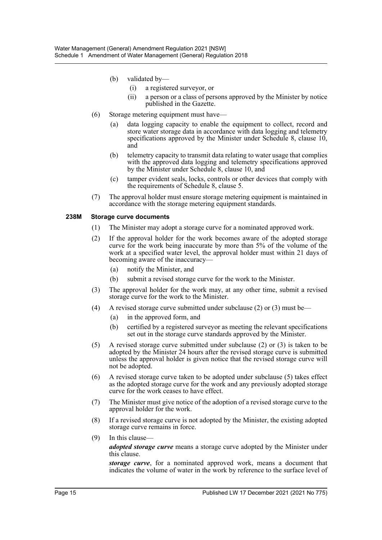- (b) validated by—
	- (i) a registered surveyor, or
	- (ii) a person or a class of persons approved by the Minister by notice published in the Gazette.
- (6) Storage metering equipment must have—
	- (a) data logging capacity to enable the equipment to collect, record and store water storage data in accordance with data logging and telemetry specifications approved by the Minister under Schedule 8, clause 10, and
	- (b) telemetry capacity to transmit data relating to water usage that complies with the approved data logging and telemetry specifications approved by the Minister under Schedule 8, clause 10, and
	- (c) tamper evident seals, locks, controls or other devices that comply with the requirements of Schedule 8, clause 5.
- (7) The approval holder must ensure storage metering equipment is maintained in accordance with the storage metering equipment standards.

#### **238M Storage curve documents**

- (1) The Minister may adopt a storage curve for a nominated approved work.
- (2) If the approval holder for the work becomes aware of the adopted storage curve for the work being inaccurate by more than 5% of the volume of the work at a specified water level, the approval holder must within 21 days of becoming aware of the inaccuracy—
	- (a) notify the Minister, and
	- (b) submit a revised storage curve for the work to the Minister.
- (3) The approval holder for the work may, at any other time, submit a revised storage curve for the work to the Minister.
- (4) A revised storage curve submitted under subclause (2) or (3) must be—
	- (a) in the approved form, and
	- (b) certified by a registered surveyor as meeting the relevant specifications set out in the storage curve standards approved by the Minister.
- (5) A revised storage curve submitted under subclause (2) or (3) is taken to be adopted by the Minister 24 hours after the revised storage curve is submitted unless the approval holder is given notice that the revised storage curve will not be adopted.
- (6) A revised storage curve taken to be adopted under subclause (5) takes effect as the adopted storage curve for the work and any previously adopted storage curve for the work ceases to have effect.
- (7) The Minister must give notice of the adoption of a revised storage curve to the approval holder for the work.
- (8) If a revised storage curve is not adopted by the Minister, the existing adopted storage curve remains in force.
- (9) In this clause *adopted storage curve* means a storage curve adopted by the Minister under this clause.

*storage curve*, for a nominated approved work, means a document that indicates the volume of water in the work by reference to the surface level of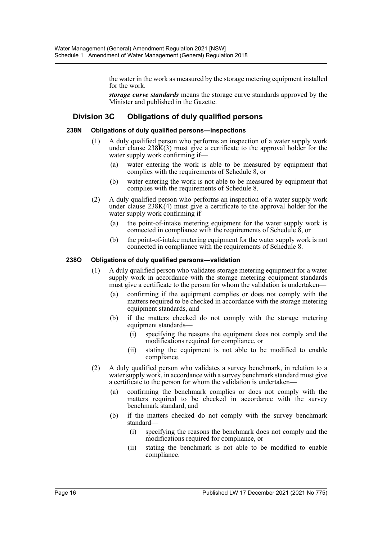the water in the work as measured by the storage metering equipment installed for the work.

*storage curve standards* means the storage curve standards approved by the Minister and published in the Gazette.

## **Division 3C Obligations of duly qualified persons**

#### **238N Obligations of duly qualified persons—inspections**

- (1) A duly qualified person who performs an inspection of a water supply work under clause 238K(3) must give a certificate to the approval holder for the water supply work confirming if—
	- (a) water entering the work is able to be measured by equipment that complies with the requirements of Schedule 8, or
	- (b) water entering the work is not able to be measured by equipment that complies with the requirements of Schedule 8.
- (2) A duly qualified person who performs an inspection of a water supply work under clause  $238K(4)$  must give a certificate to the approval holder for the water supply work confirming if—
	- (a) the point-of-intake metering equipment for the water supply work is connected in compliance with the requirements of Schedule 8, or
	- (b) the point-of-intake metering equipment for the water supply work is not connected in compliance with the requirements of Schedule 8.

#### **238O Obligations of duly qualified persons—validation**

- (1) A duly qualified person who validates storage metering equipment for a water supply work in accordance with the storage metering equipment standards must give a certificate to the person for whom the validation is undertaken—
	- (a) confirming if the equipment complies or does not comply with the matters required to be checked in accordance with the storage metering equipment standards, and
	- (b) if the matters checked do not comply with the storage metering equipment standards—
		- (i) specifying the reasons the equipment does not comply and the modifications required for compliance, or
		- (ii) stating the equipment is not able to be modified to enable compliance.
- (2) A duly qualified person who validates a survey benchmark, in relation to a water supply work, in accordance with a survey benchmark standard must give a certificate to the person for whom the validation is undertaken—
	- (a) confirming the benchmark complies or does not comply with the matters required to be checked in accordance with the survey benchmark standard, and
	- (b) if the matters checked do not comply with the survey benchmark standard—
		- (i) specifying the reasons the benchmark does not comply and the modifications required for compliance, or
		- (ii) stating the benchmark is not able to be modified to enable compliance.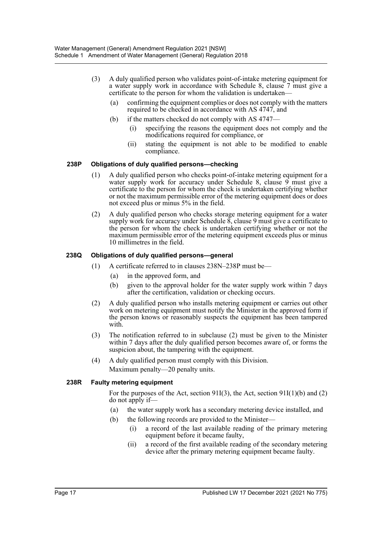- (3) A duly qualified person who validates point-of-intake metering equipment for a water supply work in accordance with Schedule 8, clause 7 must give a certificate to the person for whom the validation is undertaken—
	- (a) confirming the equipment complies or does not comply with the matters required to be checked in accordance with AS 4747, and
	- (b) if the matters checked do not comply with AS 4747—
		- (i) specifying the reasons the equipment does not comply and the modifications required for compliance, or
		- (ii) stating the equipment is not able to be modified to enable compliance.

#### **238P Obligations of duly qualified persons—checking**

- (1) A duly qualified person who checks point-of-intake metering equipment for a water supply work for accuracy under Schedule 8, clause 9 must give a certificate to the person for whom the check is undertaken certifying whether or not the maximum permissible error of the metering equipment does or does not exceed plus or minus 5% in the field.
- (2) A duly qualified person who checks storage metering equipment for a water supply work for accuracy under Schedule 8, clause 9 must give a certificate to the person for whom the check is undertaken certifying whether or not the maximum permissible error of the metering equipment exceeds plus or minus 10 millimetres in the field.

#### **238Q Obligations of duly qualified persons—general**

- (1) A certificate referred to in clauses 238N–238P must be—
	- (a) in the approved form, and
	- (b) given to the approval holder for the water supply work within 7 days after the certification, validation or checking occurs.
- (2) A duly qualified person who installs metering equipment or carries out other work on metering equipment must notify the Minister in the approved form if the person knows or reasonably suspects the equipment has been tampered with.
- (3) The notification referred to in subclause (2) must be given to the Minister within 7 days after the duly qualified person becomes aware of, or forms the suspicion about, the tampering with the equipment.
- (4) A duly qualified person must comply with this Division. Maximum penalty—20 penalty units.

#### **238R Faulty metering equipment**

For the purposes of the Act, section 91I(3), the Act, section 91I(1)(b) and (2) do not apply if—

- (a) the water supply work has a secondary metering device installed, and
- (b) the following records are provided to the Minister—
	- (i) a record of the last available reading of the primary metering equipment before it became faulty,
	- (ii) a record of the first available reading of the secondary metering device after the primary metering equipment became faulty.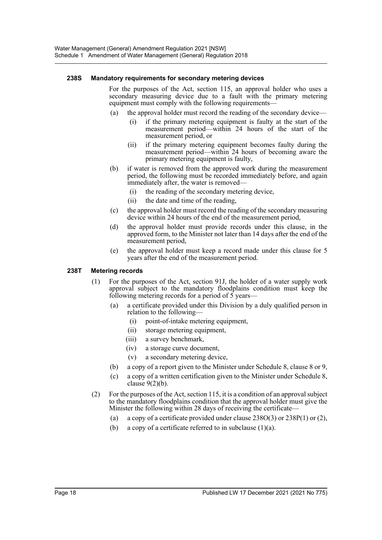#### **238S Mandatory requirements for secondary metering devices**

For the purposes of the Act, section 115, an approval holder who uses a secondary measuring device due to a fault with the primary metering equipment must comply with the following requirements—

- (a) the approval holder must record the reading of the secondary device—
	- (i) if the primary metering equipment is faulty at the start of the measurement period—within 24 hours of the start of the measurement period, or
	- (ii) if the primary metering equipment becomes faulty during the measurement period—within 24 hours of becoming aware the primary metering equipment is faulty,
- (b) if water is removed from the approved work during the measurement period, the following must be recorded immediately before, and again immediately after, the water is removed—
	- (i) the reading of the secondary metering device,
	- (ii) the date and time of the reading,
- (c) the approval holder must record the reading of the secondary measuring device within 24 hours of the end of the measurement period,
- (d) the approval holder must provide records under this clause, in the approved form, to the Minister not later than 14 days after the end of the measurement period,
- (e) the approval holder must keep a record made under this clause for 5 years after the end of the measurement period.

#### **238T Metering records**

- (1) For the purposes of the Act, section 91J, the holder of a water supply work approval subject to the mandatory floodplains condition must keep the following metering records for a period of  $\overline{5}$  years—
	- (a) a certificate provided under this Division by a duly qualified person in relation to the following—
		- (i) point-of-intake metering equipment,
		- (ii) storage metering equipment,
		- (iii) a survey benchmark,
		- (iv) a storage curve document,
		- (v) a secondary metering device,
	- (b) a copy of a report given to the Minister under Schedule 8, clause 8 or 9,
	- (c) a copy of a written certification given to the Minister under Schedule 8, clause  $9(2)(b)$ .
- (2) For the purposes of the Act, section 115, it is a condition of an approval subject to the mandatory floodplains condition that the approval holder must give the Minister the following within 28 days of receiving the certificate—
	- (a) a copy of a certificate provided under clause  $238O(3)$  or  $238P(1)$  or (2),
	- (b) a copy of a certificate referred to in subclause  $(1)(a)$ .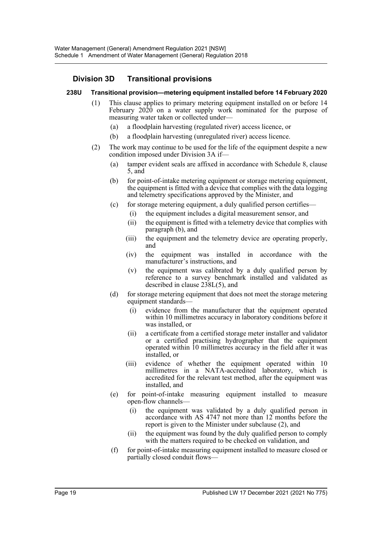## **Division 3D Transitional provisions**

#### **238U Transitional provision—metering equipment installed before 14 February 2020**

- (1) This clause applies to primary metering equipment installed on or before 14 February 2020 on a water supply work nominated for the purpose of measuring water taken or collected under—
	- (a) a floodplain harvesting (regulated river) access licence, or
	- (b) a floodplain harvesting (unregulated river) access licence.
- (2) The work may continue to be used for the life of the equipment despite a new condition imposed under Division 3A if—
	- (a) tamper evident seals are affixed in accordance with Schedule 8, clause 5, and
	- (b) for point-of-intake metering equipment or storage metering equipment, the equipment is fitted with a device that complies with the data logging and telemetry specifications approved by the Minister, and
	- (c) for storage metering equipment, a duly qualified person certifies—
		- (i) the equipment includes a digital measurement sensor, and
		- (ii) the equipment is fitted with a telemetry device that complies with paragraph (b), and
		- (iii) the equipment and the telemetry device are operating properly, and
		- (iv) the equipment was installed in accordance with the manufacturer's instructions, and
		- (v) the equipment was calibrated by a duly qualified person by reference to a survey benchmark installed and validated as described in clause 238L(5), and
	- (d) for storage metering equipment that does not meet the storage metering equipment standards—
		- (i) evidence from the manufacturer that the equipment operated within 10 millimetres accuracy in laboratory conditions before it was installed, or
		- (ii) a certificate from a certified storage meter installer and validator or a certified practising hydrographer that the equipment operated within 10 millimetres accuracy in the field after it was installed, or
		- (iii) evidence of whether the equipment operated within 10 millimetres in a NATA-accredited laboratory, which is accredited for the relevant test method, after the equipment was installed, and
	- (e) for point-of-intake measuring equipment installed to measure open-flow channels—
		- (i) the equipment was validated by a duly qualified person in accordance with AS 4747 not more than 12 months before the report is given to the Minister under subclause (2), and
		- (ii) the equipment was found by the duly qualified person to comply with the matters required to be checked on validation, and
	- (f) for point-of-intake measuring equipment installed to measure closed or partially closed conduit flows—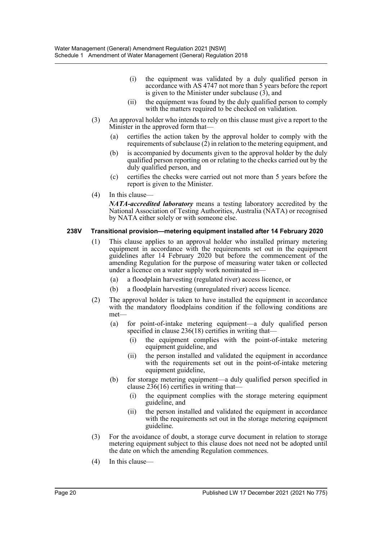- (i) the equipment was validated by a duly qualified person in accordance with AS 4747 not more than 5 years before the report is given to the Minister under subclause (3), and
- (ii) the equipment was found by the duly qualified person to comply with the matters required to be checked on validation.
- (3) An approval holder who intends to rely on this clause must give a report to the Minister in the approved form that—
	- (a) certifies the action taken by the approval holder to comply with the requirements of subclause  $(2)$  in relation to the metering equipment, and
	- (b) is accompanied by documents given to the approval holder by the duly qualified person reporting on or relating to the checks carried out by the duly qualified person, and
	- (c) certifies the checks were carried out not more than 5 years before the report is given to the Minister.
- (4) In this clause—

*NATA-accredited laboratory* means a testing laboratory accredited by the National Association of Testing Authorities, Australia (NATA) or recognised by NATA either solely or with someone else.

#### **238V Transitional provision—metering equipment installed after 14 February 2020**

- (1) This clause applies to an approval holder who installed primary metering equipment in accordance with the requirements set out in the equipment guidelines after 14 February 2020 but before the commencement of the amending Regulation for the purpose of measuring water taken or collected under a licence on a water supply work nominated in—
	- (a) a floodplain harvesting (regulated river) access licence, or
	- (b) a floodplain harvesting (unregulated river) access licence.
- (2) The approval holder is taken to have installed the equipment in accordance with the mandatory floodplains condition if the following conditions are met—
	- (a) for point-of-intake metering equipment—a duly qualified person specified in clause 236(18) certifies in writing that-
		- (i) the equipment complies with the point-of-intake metering equipment guideline, and
		- (ii) the person installed and validated the equipment in accordance with the requirements set out in the point-of-intake metering equipment guideline,
	- (b) for storage metering equipment—a duly qualified person specified in clause 236(16) certifies in writing that—
		- (i) the equipment complies with the storage metering equipment guideline, and
		- (ii) the person installed and validated the equipment in accordance with the requirements set out in the storage metering equipment guideline.
- (3) For the avoidance of doubt, a storage curve document in relation to storage metering equipment subject to this clause does not need not be adopted until the date on which the amending Regulation commences.
- (4) In this clause—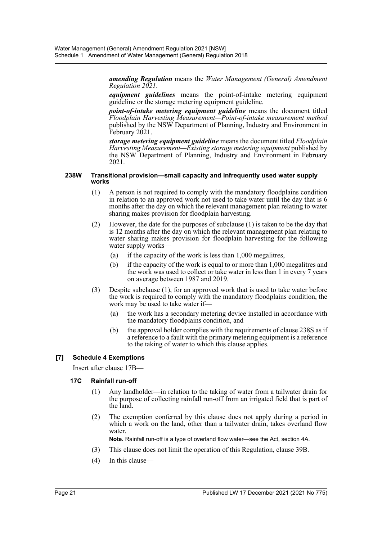*amending Regulation* means the *Water Management (General) Amendment Regulation 2021*.

*equipment guidelines* means the point-of-intake metering equipment guideline or the storage metering equipment guideline.

*point-of-intake metering equipment guideline* means the document titled *Floodplain Harvesting Measurement—Point-of-intake measurement method* published by the NSW Department of Planning, Industry and Environment in February 2021.

*storage metering equipment guideline* means the document titled *Floodplain Harvesting Measurement—Existing storage metering equipment* published by the NSW Department of Planning, Industry and Environment in February 2021.

#### **238W Transitional provision—small capacity and infrequently used water supply works**

- (1) A person is not required to comply with the mandatory floodplains condition in relation to an approved work not used to take water until the day that is 6 months after the day on which the relevant management plan relating to water sharing makes provision for floodplain harvesting.
- (2) However, the date for the purposes of subclause (1) is taken to be the day that is 12 months after the day on which the relevant management plan relating to water sharing makes provision for floodplain harvesting for the following water supply works—
	- (a) if the capacity of the work is less than 1,000 megalitres,
	- (b) if the capacity of the work is equal to or more than 1,000 megalitres and the work was used to collect or take water in less than 1 in every 7 years on average between 1987 and 2019.
- (3) Despite subclause (1), for an approved work that is used to take water before the work is required to comply with the mandatory floodplains condition, the work may be used to take water if—
	- (a) the work has a secondary metering device installed in accordance with the mandatory floodplains condition, and
	- (b) the approval holder complies with the requirements of clause 238S as if a reference to a fault with the primary metering equipment is a reference to the taking of water to which this clause applies.

## **[7] Schedule 4 Exemptions**

Insert after clause 17B—

#### **17C Rainfall run-off**

- (1) Any landholder—in relation to the taking of water from a tailwater drain for the purpose of collecting rainfall run-off from an irrigated field that is part of the land.
- (2) The exemption conferred by this clause does not apply during a period in which a work on the land, other than a tailwater drain, takes overland flow water.

**Note.** Rainfall run-off is a type of overland flow water—see the Act, section 4A.

- (3) This clause does not limit the operation of this Regulation, clause 39B.
- (4) In this clause—